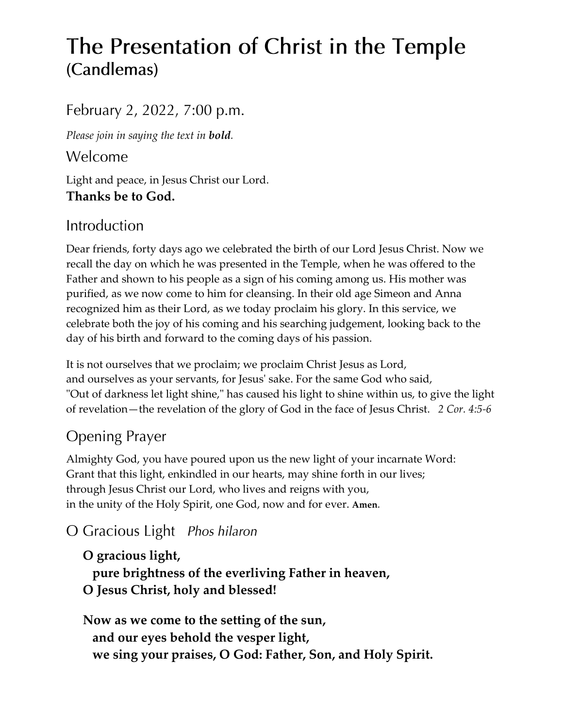# The Presentation of Christ in the Temple (Candlemas)

# February 2, 2022, 7:00 p.m.

*Please join in saying the text in bold.*

Welcome

Light and peace, in Jesus Christ our Lord. **Thanks be to God.**

## Introduction

Dear friends, forty days ago we celebrated the birth of our Lord Jesus Christ. Now we recall the day on which he was presented in the Temple, when he was offered to the Father and shown to his people as a sign of his coming among us. His mother was purified, as we now come to him for cleansing. In their old age Simeon and Anna recognized him as their Lord, as we today proclaim his glory. In this service, we celebrate both the joy of his coming and his searching judgement, looking back to the day of his birth and forward to the coming days of his passion.

It is not ourselves that we proclaim; we proclaim Christ Jesus as Lord, and ourselves as your servants, for Jesus' sake. For the same God who said, "Out of darkness let light shine," has caused his light to shine within us, to give the light of revelation—the revelation of the glory of God in the face of Jesus Christ. *2 Cor. 4:5-6*

# **Opening Prayer**

Almighty God, you have poured upon us the new light of your incarnate Word: Grant that this light, enkindled in our hearts, may shine forth in our lives; through Jesus Christ our Lord, who lives and reigns with you, in the unity of the Holy Spirit, one God, now and for ever. **Amen***.*

# O Gracious Light *Phos hilaron*

#### **O gracious light, pure brightness of the everliving Father in heaven, O Jesus Christ, holy and blessed!**

**Now as we come to the setting of the sun, and our eyes behold the vesper light, we sing your praises, O God: Father, Son, and Holy Spirit.**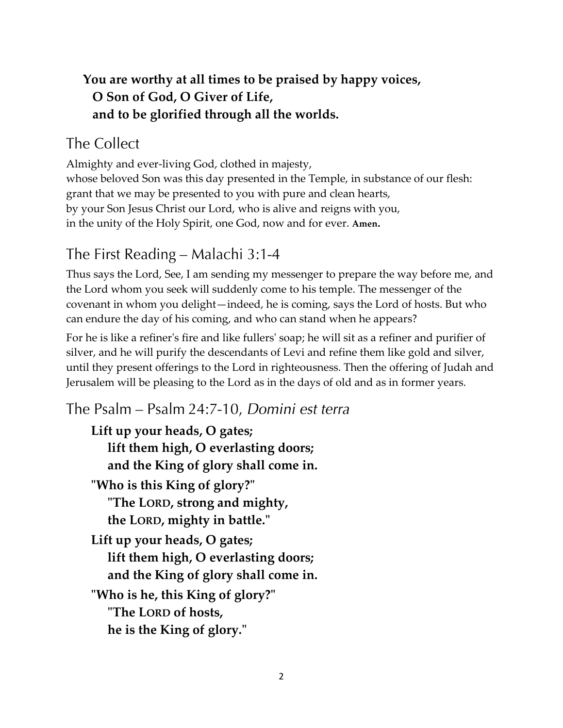#### **You are worthy at all times to be praised by happy voices, O Son of God, O Giver of Life, and to be glorified through all the worlds.**

## The Collect

Almighty and ever-living God, clothed in majesty, whose beloved Son was this day presented in the Temple, in substance of our flesh: grant that we may be presented to you with pure and clean hearts, by your Son Jesus Christ our Lord, who is alive and reigns with you, in the unity of the Holy Spirit, one God, now and for ever. **Amen.**

# The First Reading - Malachi 3:1-4

Thus says the Lord, See, I am sending my messenger to prepare the way before me, and the Lord whom you seek will suddenly come to his temple. The messenger of the covenant in whom you delight—indeed, he is coming, says the Lord of hosts. But who can endure the day of his coming, and who can stand when he appears?

For he is like a refiner's fire and like fullers' soap; he will sit as a refiner and purifier of silver, and he will purify the descendants of Levi and refine them like gold and silver, until they present offerings to the Lord in righteousness. Then the offering of Judah and Jerusalem will be pleasing to the Lord as in the days of old and as in former years.

The Psalm – Psalm 24:7-10, Domini est terra

**Lift up your heads, O gates; lift them high, O everlasting doors; and the King of glory shall come in. "Who is this King of glory?" "The LORD, strong and mighty, the LORD, mighty in battle." Lift up your heads, O gates; lift them high, O everlasting doors; and the King of glory shall come in. "Who is he, this King of glory?" "The LORD of hosts, he is the King of glory."**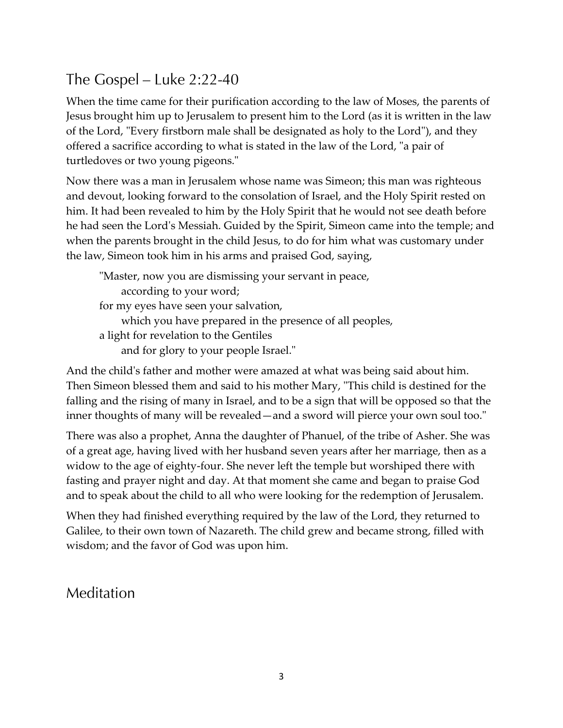## The Gospel – Luke  $2:22-40$

When the time came for their purification according to the law of Moses, the parents of Jesus brought him up to Jerusalem to present him to the Lord (as it is written in the law of the Lord, "Every firstborn male shall be designated as holy to the Lord"), and they offered a sacrifice according to what is stated in the law of the Lord, "a pair of turtledoves or two young pigeons."

Now there was a man in Jerusalem whose name was Simeon; this man was righteous and devout, looking forward to the consolation of Israel, and the Holy Spirit rested on him. It had been revealed to him by the Holy Spirit that he would not see death before he had seen the Lord's Messiah. Guided by the Spirit, Simeon came into the temple; and when the parents brought in the child Jesus, to do for him what was customary under the law, Simeon took him in his arms and praised God, saying,

"Master, now you are dismissing your servant in peace, according to your word; for my eyes have seen your salvation, which you have prepared in the presence of all peoples, a light for revelation to the Gentiles and for glory to your people Israel."

And the child's father and mother were amazed at what was being said about him. Then Simeon blessed them and said to his mother Mary, "This child is destined for the falling and the rising of many in Israel, and to be a sign that will be opposed so that the inner thoughts of many will be revealed—and a sword will pierce your own soul too."

There was also a prophet, Anna the daughter of Phanuel, of the tribe of Asher. She was of a great age, having lived with her husband seven years after her marriage, then as a widow to the age of eighty-four. She never left the temple but worshiped there with fasting and prayer night and day. At that moment she came and began to praise God and to speak about the child to all who were looking for the redemption of Jerusalem.

When they had finished everything required by the law of the Lord, they returned to Galilee, to their own town of Nazareth. The child grew and became strong, filled with wisdom; and the favor of God was upon him.

Meditation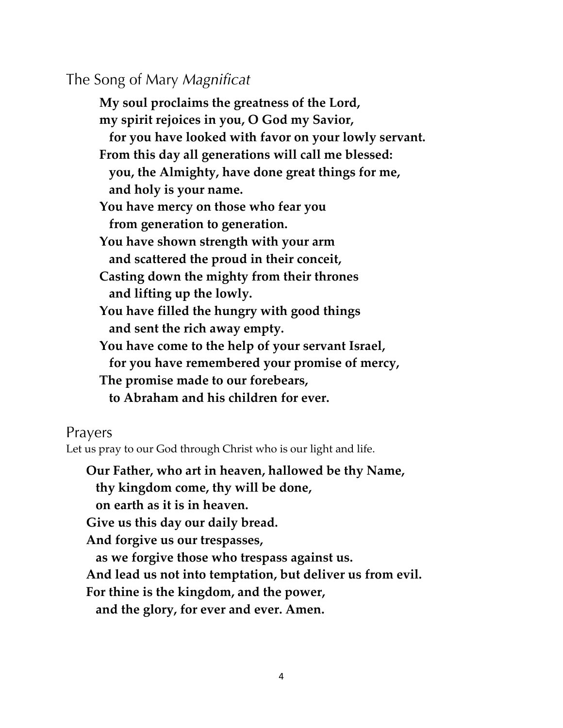#### The Song of Mary Magnificat

**My soul proclaims the greatness of the Lord, my spirit rejoices in you, O God my Savior, for you have looked with favor on your lowly servant. From this day all generations will call me blessed: you, the Almighty, have done great things for me, and holy is your name. You have mercy on those who fear you from generation to generation. You have shown strength with your arm and scattered the proud in their conceit, Casting down the mighty from their thrones and lifting up the lowly. You have filled the hungry with good things and sent the rich away empty. You have come to the help of your servant Israel, for you have remembered your promise of mercy, The promise made to our forebears, to Abraham and his children for ever.**

Prayers

Let us pray to our God through Christ who is our light and life.

**Our Father, who art in heaven, hallowed be thy Name, thy kingdom come, thy will be done, on earth as it is in heaven. Give us this day our daily bread. And forgive us our trespasses, as we forgive those who trespass against us. And lead us not into temptation, but deliver us from evil. For thine is the kingdom, and the power, and the glory, for ever and ever. Amen.**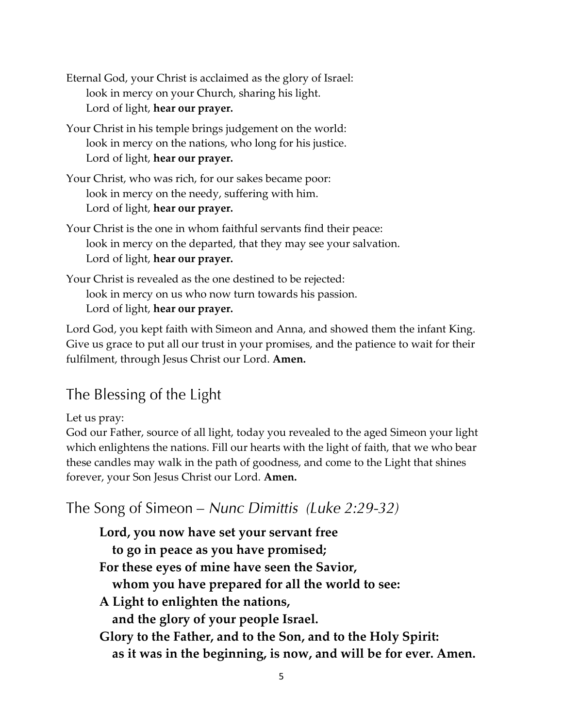- Eternal God, your Christ is acclaimed as the glory of Israel: look in mercy on your Church, sharing his light. Lord of light, **hear our prayer.**
- Your Christ in his temple brings judgement on the world: look in mercy on the nations, who long for his justice. Lord of light, **hear our prayer.**
- Your Christ, who was rich, for our sakes became poor: look in mercy on the needy, suffering with him. Lord of light, **hear our prayer.**
- Your Christ is the one in whom faithful servants find their peace: look in mercy on the departed, that they may see your salvation. Lord of light, **hear our prayer.**

Your Christ is revealed as the one destined to be rejected: look in mercy on us who now turn towards his passion. Lord of light, **hear our prayer.**

Lord God, you kept faith with Simeon and Anna, and showed them the infant King. Give us grace to put all our trust in your promises, and the patience to wait for their fulfilment, through Jesus Christ our Lord. **Amen.**

# The Blessing of the Light

Let us pray:

God our Father, source of all light, today you revealed to the aged Simeon your light which enlightens the nations. Fill our hearts with the light of faith, that we who bear these candles may walk in the path of goodness, and come to the Light that shines forever, your Son Jesus Christ our Lord. **Amen.**

The Song of Simeon - Nunc Dimittis (Luke 2:29-32)

**Lord, you now have set your servant free to go in peace as you have promised; For these eyes of mine have seen the Savior, whom you have prepared for all the world to see: A Light to enlighten the nations, and the glory of your people Israel. Glory to the Father, and to the Son, and to the Holy Spirit: as it was in the beginning, is now, and will be for ever. Amen.**